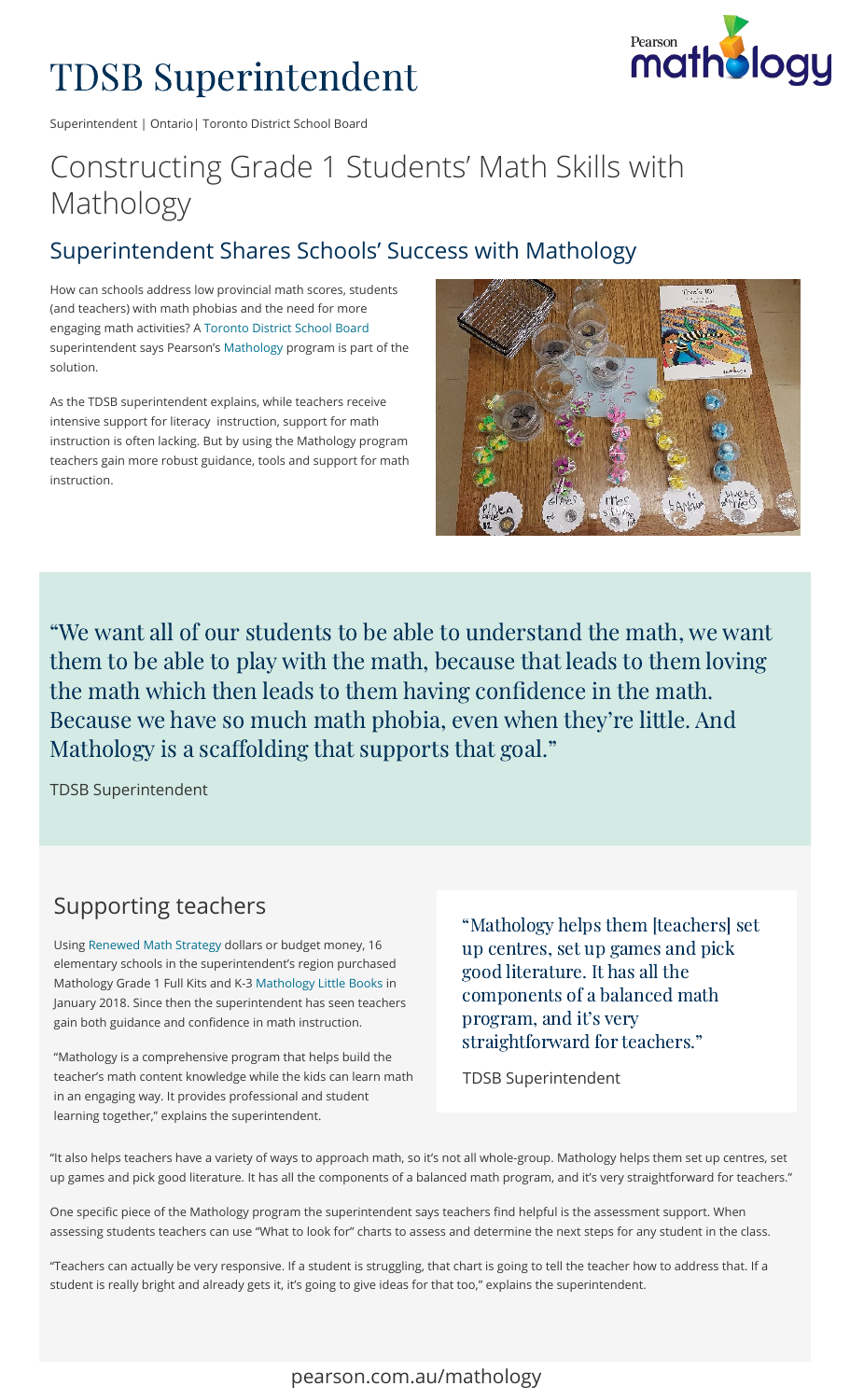# TDSB Superintendent



Superintendent | Ontario| Toronto District School Board

## Constructing Grade 1 Students' Math Skills with Mathology

#### Superintendent Shares Schools' Success with Mathology

How can schools address low provincial math scores, students (and teachers) with math phobias and the need for more engaging math activities? A [Toronto District School Board](https://tdsb.on.ca/) superintendentsays Pearson's Mathology program is part of the solution.

As the TDSB superintendent explains, while teachers receive intensive support for literacy instruction, support for math instruction is often lacking. But by using the Mathology program teachers gain more robust guidance, tools and support for math instruction.



"We want all of our students to be able to understand the math, we want them to be able to play with the math, because that leads to them loving the math which then leads to them having confidence in the math. Because we have so much math phobia, even when they're little. And Mathology is a scaffolding that supports that goal."

TDSB Superintendent

#### Supporting teachers

Using Renewed Math Strategy dollars or budget money, 16 elementary schools in the superintendent's region purchased MathologyGrade 1 Full Kits and K-3 Mathology Little Books in January 2018. Since then the superintendent has seen teachers gain both guidance and confidence in math instruction.

"Mathology is a comprehensive program that helps build the teacher's math content knowledge while the kids can learn math in an engaging way. It provides professional and student learning together," explains the superintendent.

"Mathology helps them [teachers] set up centres, set up games and pick good literature. It has all the components of a balanced math program, and it's very straightforward for teachers."

TDSB Superintendent

"It also helps teachers have a variety of ways to approach math, so it's not all whole-group. Mathology helps them set up centres, set up games and pick good literature. It has all the components of a balanced math program, and it's very straightforward for teachers."

One specific piece of the Mathology program the superintendent says teachers find helpful is the assessment support. When assessing students teachers can use "What to look for" charts to assess and determine the next steps for any student in the class.

"Teachers can actually be very responsive. If a student is struggling, that chart is going to tell the teacher how to address that. If a student is really bright and already gets it, it's going to give ideas for that too," explains the superintendent.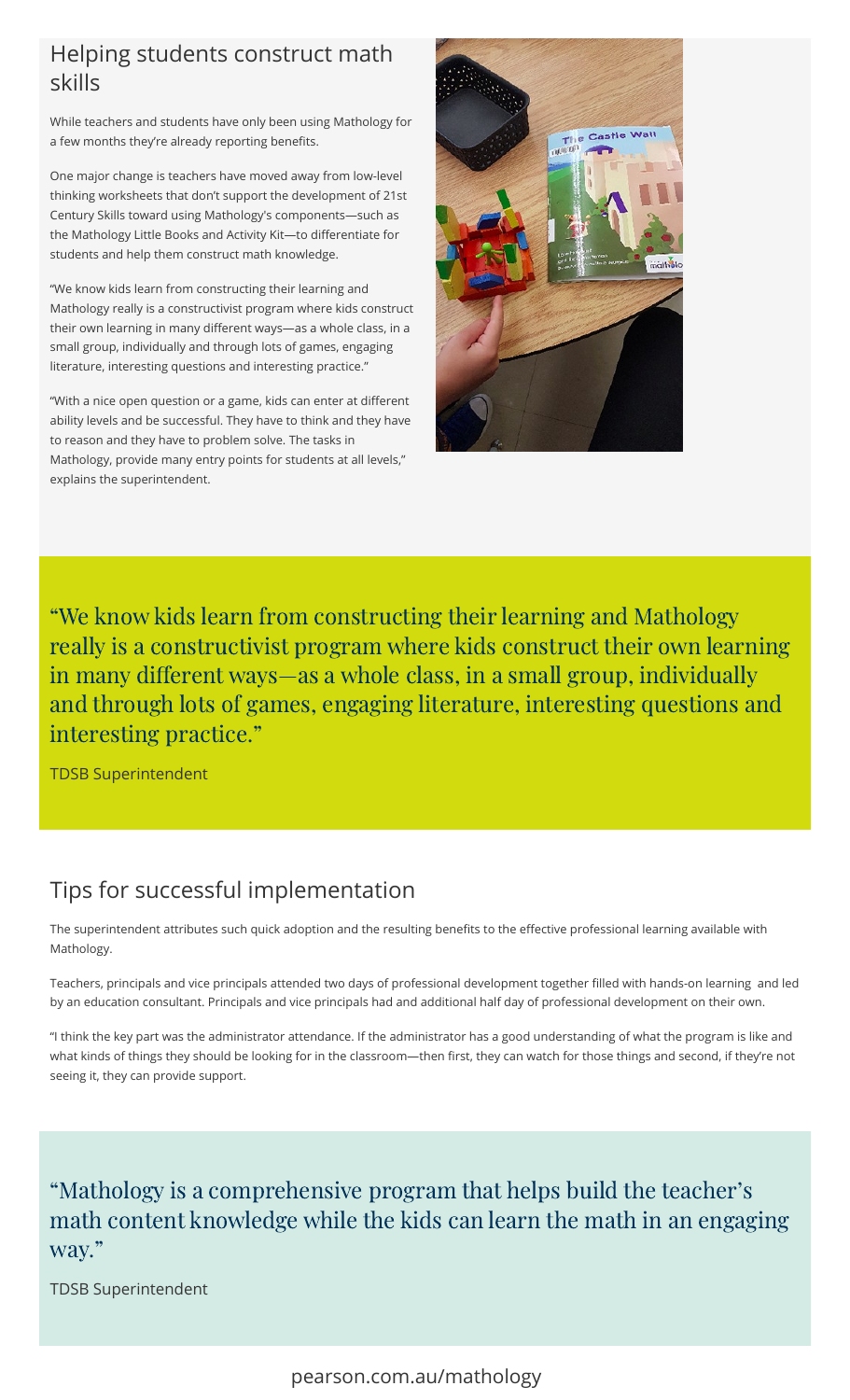#### Helping students construct math skills

While teachers and students have only been using Mathology for a few months they're already reporting benefits.

One major change is teachers have moved away from low-level thinking worksheets that don't support the development of 21st Century Skills toward using Mathology's components—such as the Mathology Little Books and Activity Kit-to differentiate for students and help them construct math knowledge.

"We know kids learn from constructing their learning and Mathology really is a constructivist program where kids construct their own learning in many different ways-as a whole class, in a small group, individually and through lots of games, engaging literature, interesting questions and interesting practice."

"With a nice open question or a game, kids can enter at different ability levels and be successful. They have to think and they have to reason and they have to problem solve. The tasks in Mathology, provide many entry points for students at all levels," explains the superintendent.



"We know kids learn from constructing their learning and Mathology really is a constructivist program where kids construct their own learning in many different ways—as a whole class, in a small group, individually and through lots of games, engaging literature, interesting questions and interesting practice."

TDSB Superintendent

#### Tips for successful implementation

The superintendent attributes such quick adoption and the resulting benefits to the effective professional learning available with Mathology.

Teachers, principals and vice principals attended two days of professional development together filled with hands-on learning and led by an education consultant. Principals and vice principals had and additional half day of professional development on their own.

"I think the key part was the administrator attendance. If the administrator has a good understanding of what the program is like and what kinds of things they should be looking for in the classroom—then first, they can watch for those things and second, if they're not seeing it, they can provide support.

"Mathology is a comprehensive program that helps build the teacher's math content knowledge while the kids can learn the math in an engaging way."

TDSB Superintendent